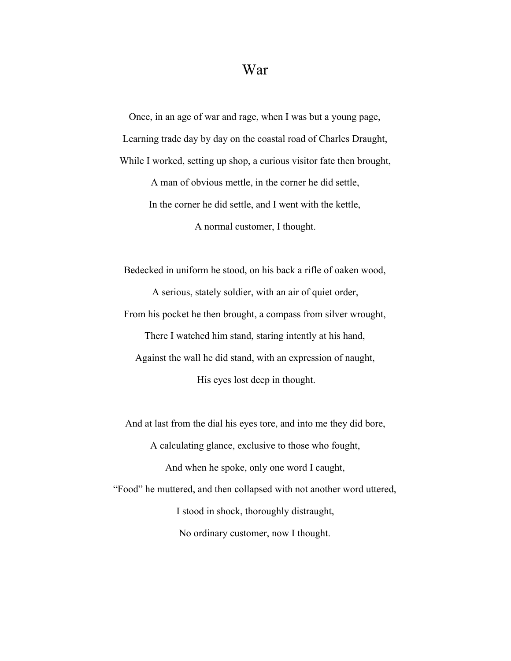## War

Once, in an age of war and rage, when I was but a young page, Learning trade day by day on the coastal road of Charles Draught, While I worked, setting up shop, a curious visitor fate then brought,

> A man of obvious mettle, in the corner he did settle, In the corner he did settle, and I went with the kettle,

> > A normal customer, I thought.

Bedecked in uniform he stood, on his back a rifle of oaken wood, A serious, stately soldier, with an air of quiet order, From his pocket he then brought, a compass from silver wrought, There I watched him stand, staring intently at his hand, Against the wall he did stand, with an expression of naught, His eyes lost deep in thought.

And at last from the dial his eyes tore, and into me they did bore, A calculating glance, exclusive to those who fought, And when he spoke, only one word I caught, "Food" he muttered, and then collapsed with not another word uttered, I stood in shock, thoroughly distraught, No ordinary customer, now I thought.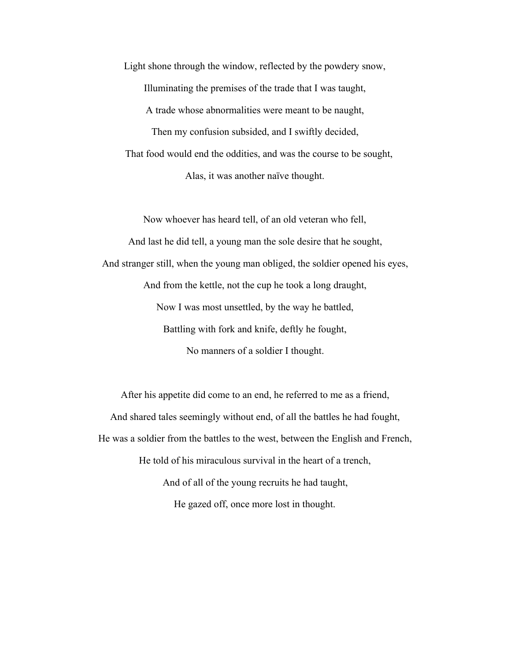Light shone through the window, reflected by the powdery snow, Illuminating the premises of the trade that I was taught, A trade whose abnormalities were meant to be naught, Then my confusion subsided, and I swiftly decided, That food would end the oddities, and was the course to be sought, Alas, it was another naïve thought.

Now whoever has heard tell, of an old veteran who fell, And last he did tell, a young man the sole desire that he sought, And stranger still, when the young man obliged, the soldier opened his eyes, And from the kettle, not the cup he took a long draught, Now I was most unsettled, by the way he battled, Battling with fork and knife, deftly he fought, No manners of a soldier I thought.

After his appetite did come to an end, he referred to me as a friend, And shared tales seemingly without end, of all the battles he had fought, He was a soldier from the battles to the west, between the English and French, He told of his miraculous survival in the heart of a trench, And of all of the young recruits he had taught, He gazed off, once more lost in thought.